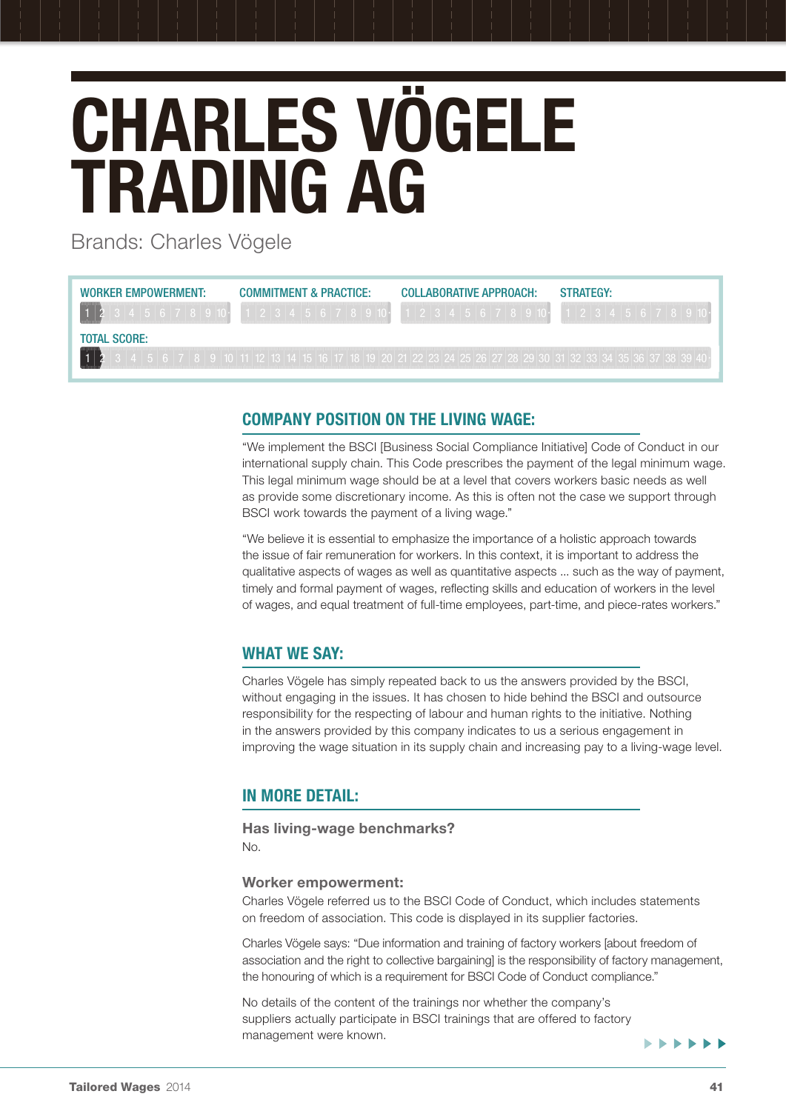# Charles Vögele Trading AG

Brands: Charles Vögele

| WORKER EMPOWERMENT: | COMMITMENT & PRACTICE: | COLLABORATIVE APPROACH: | <b>STRATEGY:</b> |
|---------------------|------------------------|-------------------------|------------------|
|                     |                        | 1 2 3 4 5 6 7 8 9 10 1  |                  |
| <b>TOTAL SCORE:</b> |                        |                         |                  |
|                     |                        |                         |                  |

## Company position on the living wage:

"We implement the BSCI [Business Social Compliance Initiative] Code of Conduct in our international supply chain. This Code prescribes the payment of the legal minimum wage. This legal minimum wage should be at a level that covers workers basic needs as well as provide some discretionary income. As this is often not the case we support through BSCI work towards the payment of a living wage."

"We believe it is essential to emphasize the importance of a holistic approach towards the issue of fair remuneration for workers. In this context, it is important to address the qualitative aspects of wages as well as quantitative aspects ... such as the way of payment, timely and formal payment of wages, reflecting skills and education of workers in the level of wages, and equal treatment of full-time employees, part-time, and piece-rates workers."

# WHAT WE SAY:

Charles Vögele has simply repeated back to us the answers provided by the BSCI, without engaging in the issues. It has chosen to hide behind the BSCI and outsource responsibility for the respecting of labour and human rights to the initiative. Nothing in the answers provided by this company indicates to us a serious engagement in improving the wage situation in its supply chain and increasing pay to a living-wage level.

# In more detail:

# Has living-wage benchmarks?

No.

### Worker empowerment:

Charles Vögele referred us to the BSCI Code of Conduct, which includes statements on freedom of association. This code is displayed in its supplier factories.

Charles Vögele says: "Due information and training of factory workers [about freedom of association and the right to collective bargaining] is the responsibility of factory management, the honouring of which is a requirement for BSCI Code of Conduct compliance."

No details of the content of the trainings nor whether the company's suppliers actually participate in BSCI trainings that are offered to factory management were known.